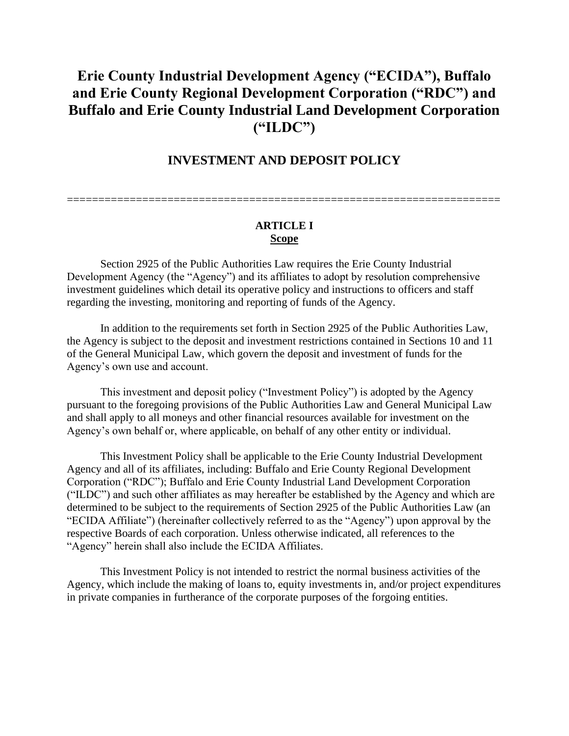# **Erie County Industrial Development Agency ("ECIDA"), Buffalo and Erie County Regional Development Corporation ("RDC") and Buffalo and Erie County Industrial Land Development Corporation ("ILDC")**

# **INVESTMENT AND DEPOSIT POLICY**

=====================================================================

#### **ARTICLE I Scope**

Section 2925 of the Public Authorities Law requires the Erie County Industrial Development Agency (the "Agency") and its affiliates to adopt by resolution comprehensive investment guidelines which detail its operative policy and instructions to officers and staff regarding the investing, monitoring and reporting of funds of the Agency.

In addition to the requirements set forth in Section 2925 of the Public Authorities Law, the Agency is subject to the deposit and investment restrictions contained in Sections 10 and 11 of the General Municipal Law, which govern the deposit and investment of funds for the Agency's own use and account.

This investment and deposit policy ("Investment Policy") is adopted by the Agency pursuant to the foregoing provisions of the Public Authorities Law and General Municipal Law and shall apply to all moneys and other financial resources available for investment on the Agency's own behalf or, where applicable, on behalf of any other entity or individual.

This Investment Policy shall be applicable to the Erie County Industrial Development Agency and all of its affiliates, including: Buffalo and Erie County Regional Development Corporation ("RDC"); Buffalo and Erie County Industrial Land Development Corporation ("ILDC") and such other affiliates as may hereafter be established by the Agency and which are determined to be subject to the requirements of Section 2925 of the Public Authorities Law (an "ECIDA Affiliate") (hereinafter collectively referred to as the "Agency") upon approval by the respective Boards of each corporation. Unless otherwise indicated, all references to the "Agency" herein shall also include the ECIDA Affiliates.

This Investment Policy is not intended to restrict the normal business activities of the Agency, which include the making of loans to, equity investments in, and/or project expenditures in private companies in furtherance of the corporate purposes of the forgoing entities.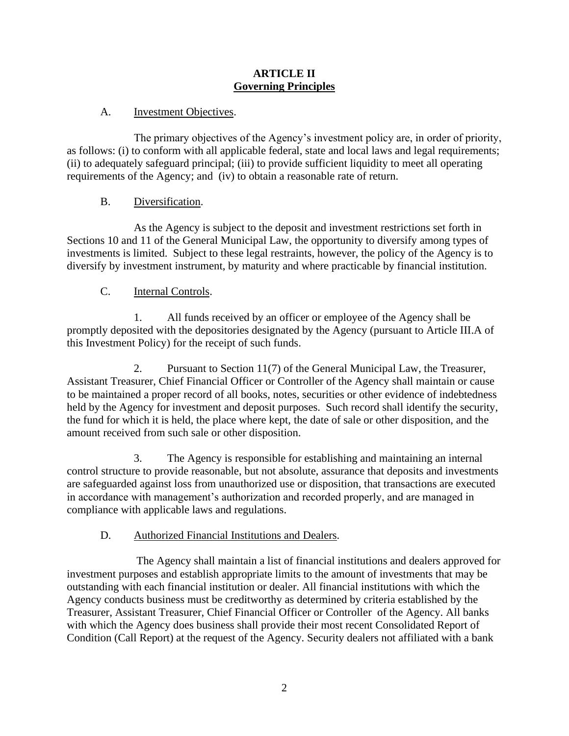#### **ARTICLE II Governing Principles**

## A. Investment Objectives.

The primary objectives of the Agency's investment policy are, in order of priority, as follows: (i) to conform with all applicable federal, state and local laws and legal requirements; (ii) to adequately safeguard principal; (iii) to provide sufficient liquidity to meet all operating requirements of the Agency; and (iv) to obtain a reasonable rate of return.

## B. Diversification.

As the Agency is subject to the deposit and investment restrictions set forth in Sections 10 and 11 of the General Municipal Law, the opportunity to diversify among types of investments is limited. Subject to these legal restraints, however, the policy of the Agency is to diversify by investment instrument, by maturity and where practicable by financial institution.

## C. Internal Controls.

1. All funds received by an officer or employee of the Agency shall be promptly deposited with the depositories designated by the Agency (pursuant to Article III.A of this Investment Policy) for the receipt of such funds.

2. Pursuant to Section 11(7) of the General Municipal Law, the Treasurer, Assistant Treasurer, Chief Financial Officer or Controller of the Agency shall maintain or cause to be maintained a proper record of all books, notes, securities or other evidence of indebtedness held by the Agency for investment and deposit purposes. Such record shall identify the security, the fund for which it is held, the place where kept, the date of sale or other disposition, and the amount received from such sale or other disposition.

3. The Agency is responsible for establishing and maintaining an internal control structure to provide reasonable, but not absolute, assurance that deposits and investments are safeguarded against loss from unauthorized use or disposition, that transactions are executed in accordance with management's authorization and recorded properly, and are managed in compliance with applicable laws and regulations.

# D. Authorized Financial Institutions and Dealers.

The Agency shall maintain a list of financial institutions and dealers approved for investment purposes and establish appropriate limits to the amount of investments that may be outstanding with each financial institution or dealer. All financial institutions with which the Agency conducts business must be creditworthy as determined by criteria established by the Treasurer, Assistant Treasurer, Chief Financial Officer or Controller of the Agency. All banks with which the Agency does business shall provide their most recent Consolidated Report of Condition (Call Report) at the request of the Agency. Security dealers not affiliated with a bank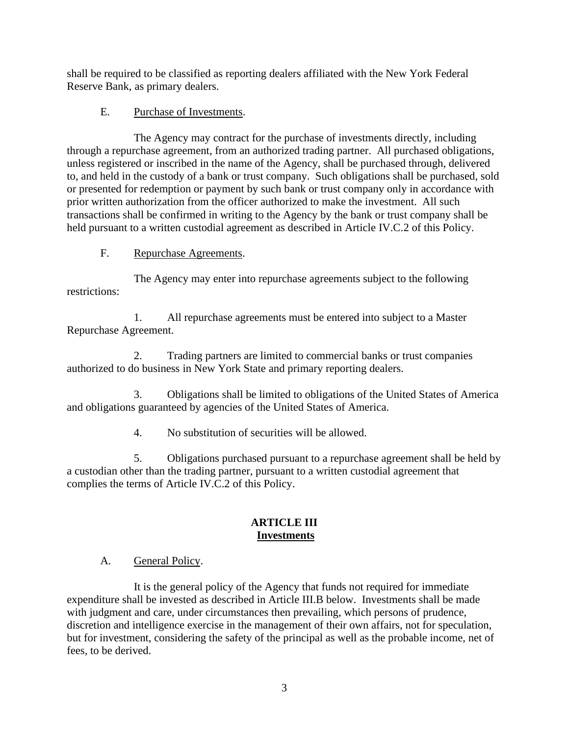shall be required to be classified as reporting dealers affiliated with the New York Federal Reserve Bank, as primary dealers.

## E. Purchase of Investments.

The Agency may contract for the purchase of investments directly, including through a repurchase agreement, from an authorized trading partner. All purchased obligations, unless registered or inscribed in the name of the Agency, shall be purchased through, delivered to, and held in the custody of a bank or trust company. Such obligations shall be purchased, sold or presented for redemption or payment by such bank or trust company only in accordance with prior written authorization from the officer authorized to make the investment. All such transactions shall be confirmed in writing to the Agency by the bank or trust company shall be held pursuant to a written custodial agreement as described in Article IV.C.2 of this Policy.

## F. Repurchase Agreements.

The Agency may enter into repurchase agreements subject to the following restrictions:

1. All repurchase agreements must be entered into subject to a Master Repurchase Agreement.

2. Trading partners are limited to commercial banks or trust companies authorized to do business in New York State and primary reporting dealers.

3. Obligations shall be limited to obligations of the United States of America and obligations guaranteed by agencies of the United States of America.

4. No substitution of securities will be allowed.

5. Obligations purchased pursuant to a repurchase agreement shall be held by a custodian other than the trading partner, pursuant to a written custodial agreement that complies the terms of Article IV.C.2 of this Policy.

## **ARTICLE III Investments**

## A. General Policy.

It is the general policy of the Agency that funds not required for immediate expenditure shall be invested as described in Article III.B below. Investments shall be made with judgment and care, under circumstances then prevailing, which persons of prudence, discretion and intelligence exercise in the management of their own affairs, not for speculation, but for investment, considering the safety of the principal as well as the probable income, net of fees, to be derived.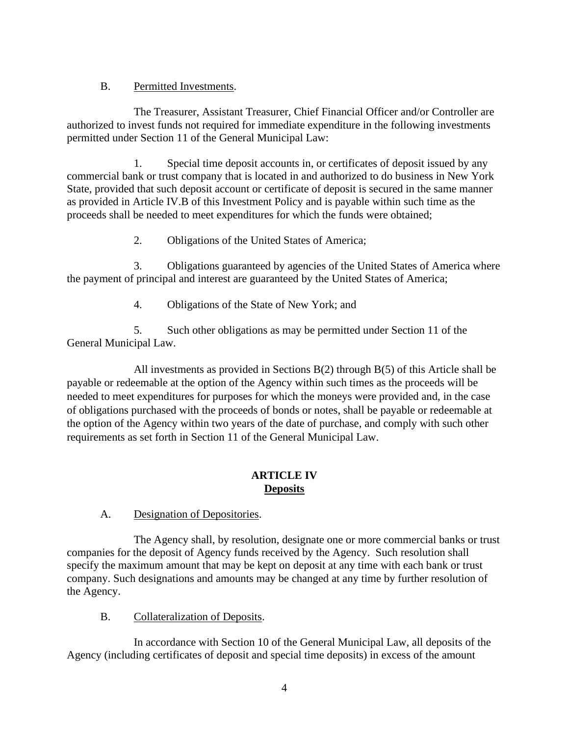## B. Permitted Investments.

The Treasurer, Assistant Treasurer, Chief Financial Officer and/or Controller are authorized to invest funds not required for immediate expenditure in the following investments permitted under Section 11 of the General Municipal Law:

1. Special time deposit accounts in, or certificates of deposit issued by any commercial bank or trust company that is located in and authorized to do business in New York State, provided that such deposit account or certificate of deposit is secured in the same manner as provided in Article IV.B of this Investment Policy and is payable within such time as the proceeds shall be needed to meet expenditures for which the funds were obtained;

2. Obligations of the United States of America;

3. Obligations guaranteed by agencies of the United States of America where the payment of principal and interest are guaranteed by the United States of America;

4. Obligations of the State of New York; and

5. Such other obligations as may be permitted under Section 11 of the General Municipal Law.

All investments as provided in Sections B(2) through B(5) of this Article shall be payable or redeemable at the option of the Agency within such times as the proceeds will be needed to meet expenditures for purposes for which the moneys were provided and, in the case of obligations purchased with the proceeds of bonds or notes, shall be payable or redeemable at the option of the Agency within two years of the date of purchase, and comply with such other requirements as set forth in Section 11 of the General Municipal Law.

## **ARTICLE IV Deposits**

A. Designation of Depositories.

The Agency shall, by resolution, designate one or more commercial banks or trust companies for the deposit of Agency funds received by the Agency. Such resolution shall specify the maximum amount that may be kept on deposit at any time with each bank or trust company. Such designations and amounts may be changed at any time by further resolution of the Agency.

B. Collateralization of Deposits.

In accordance with Section 10 of the General Municipal Law, all deposits of the Agency (including certificates of deposit and special time deposits) in excess of the amount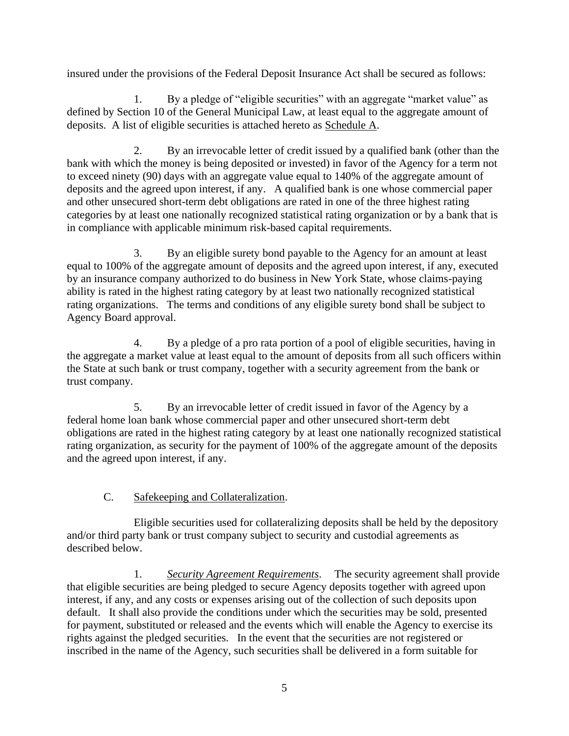insured under the provisions of the Federal Deposit Insurance Act shall be secured as follows:

1. By a pledge of "eligible securities" with an aggregate "market value" as defined by Section 10 of the General Municipal Law, at least equal to the aggregate amount of deposits. A list of eligible securities is attached hereto as Schedule A.

2. By an irrevocable letter of credit issued by a qualified bank (other than the bank with which the money is being deposited or invested) in favor of the Agency for a term not to exceed ninety (90) days with an aggregate value equal to 140% of the aggregate amount of deposits and the agreed upon interest, if any. A qualified bank is one whose commercial paper and other unsecured short-term debt obligations are rated in one of the three highest rating categories by at least one nationally recognized statistical rating organization or by a bank that is in compliance with applicable minimum risk-based capital requirements.

3. By an eligible surety bond payable to the Agency for an amount at least equal to 100% of the aggregate amount of deposits and the agreed upon interest, if any, executed by an insurance company authorized to do business in New York State, whose claims-paying ability is rated in the highest rating category by at least two nationally recognized statistical rating organizations. The terms and conditions of any eligible surety bond shall be subject to Agency Board approval.

4. By a pledge of a pro rata portion of a pool of eligible securities, having in the aggregate a market value at least equal to the amount of deposits from all such officers within the State at such bank or trust company, together with a security agreement from the bank or trust company.

5. By an irrevocable letter of credit issued in favor of the Agency by a federal home loan bank whose commercial paper and other unsecured short-term debt obligations are rated in the highest rating category by at least one nationally recognized statistical rating organization, as security for the payment of 100% of the aggregate amount of the deposits and the agreed upon interest, if any.

# C. Safekeeping and Collateralization.

Eligible securities used for collateralizing deposits shall be held by the depository and/or third party bank or trust company subject to security and custodial agreements as described below.

1. *Security Agreement Requirements*. The security agreement shall provide that eligible securities are being pledged to secure Agency deposits together with agreed upon interest, if any, and any costs or expenses arising out of the collection of such deposits upon default. It shall also provide the conditions under which the securities may be sold, presented for payment, substituted or released and the events which will enable the Agency to exercise its rights against the pledged securities. In the event that the securities are not registered or inscribed in the name of the Agency, such securities shall be delivered in a form suitable for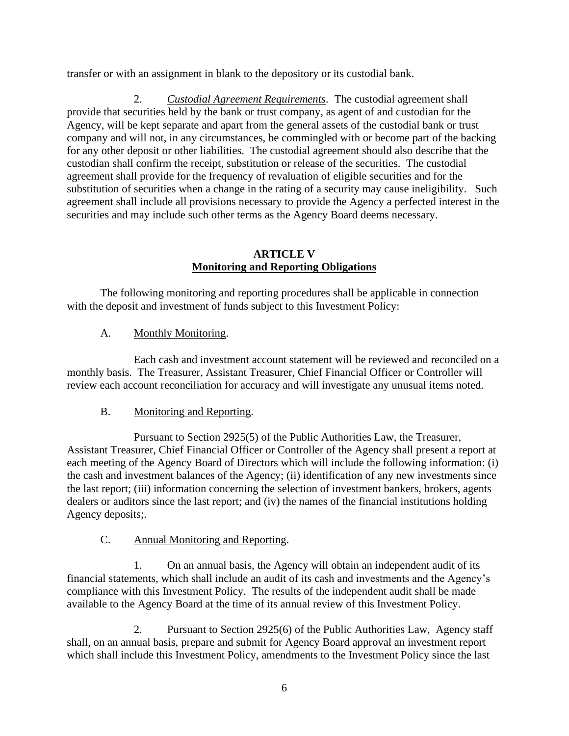transfer or with an assignment in blank to the depository or its custodial bank.

2. *Custodial Agreement Requirements*. The custodial agreement shall provide that securities held by the bank or trust company, as agent of and custodian for the Agency, will be kept separate and apart from the general assets of the custodial bank or trust company and will not, in any circumstances, be commingled with or become part of the backing for any other deposit or other liabilities. The custodial agreement should also describe that the custodian shall confirm the receipt, substitution or release of the securities. The custodial agreement shall provide for the frequency of revaluation of eligible securities and for the substitution of securities when a change in the rating of a security may cause ineligibility. Such agreement shall include all provisions necessary to provide the Agency a perfected interest in the securities and may include such other terms as the Agency Board deems necessary.

#### **ARTICLE V Monitoring and Reporting Obligations**

The following monitoring and reporting procedures shall be applicable in connection with the deposit and investment of funds subject to this Investment Policy:

## A. Monthly Monitoring.

Each cash and investment account statement will be reviewed and reconciled on a monthly basis. The Treasurer, Assistant Treasurer, Chief Financial Officer or Controller will review each account reconciliation for accuracy and will investigate any unusual items noted.

## B. Monitoring and Reporting.

Pursuant to Section 2925(5) of the Public Authorities Law, the Treasurer, Assistant Treasurer, Chief Financial Officer or Controller of the Agency shall present a report at each meeting of the Agency Board of Directors which will include the following information: (i) the cash and investment balances of the Agency; (ii) identification of any new investments since the last report; (iii) information concerning the selection of investment bankers, brokers, agents dealers or auditors since the last report; and (iv) the names of the financial institutions holding Agency deposits;.

## C. Annual Monitoring and Reporting.

1. On an annual basis, the Agency will obtain an independent audit of its financial statements, which shall include an audit of its cash and investments and the Agency's compliance with this Investment Policy. The results of the independent audit shall be made available to the Agency Board at the time of its annual review of this Investment Policy.

2. Pursuant to Section 2925(6) of the Public Authorities Law, Agency staff shall, on an annual basis, prepare and submit for Agency Board approval an investment report which shall include this Investment Policy, amendments to the Investment Policy since the last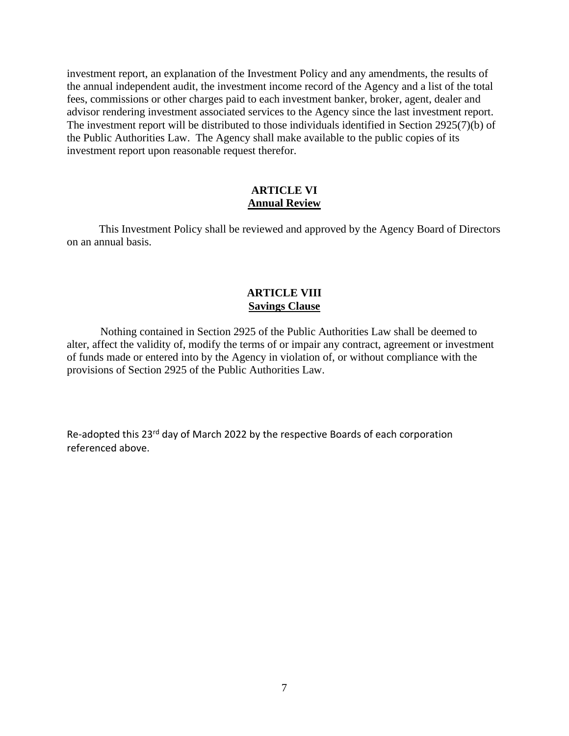investment report, an explanation of the Investment Policy and any amendments, the results of the annual independent audit, the investment income record of the Agency and a list of the total fees, commissions or other charges paid to each investment banker, broker, agent, dealer and advisor rendering investment associated services to the Agency since the last investment report. The investment report will be distributed to those individuals identified in Section 2925(7)(b) of the Public Authorities Law. The Agency shall make available to the public copies of its investment report upon reasonable request therefor.

#### **ARTICLE VI Annual Review**

This Investment Policy shall be reviewed and approved by the Agency Board of Directors on an annual basis.

#### **ARTICLE VIII Savings Clause**

Nothing contained in Section 2925 of the Public Authorities Law shall be deemed to alter, affect the validity of, modify the terms of or impair any contract, agreement or investment of funds made or entered into by the Agency in violation of, or without compliance with the provisions of Section 2925 of the Public Authorities Law.

Re-adopted this 23rd day of March 2022 by the respective Boards of each corporation referenced above.